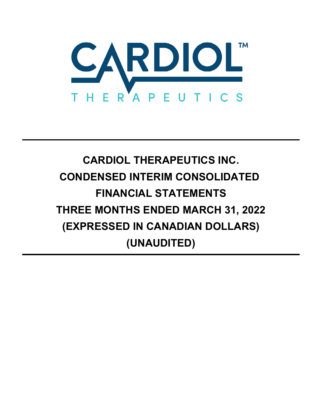

# **CARDIOL THERAPEUTICS INC. CONDENSED INTERIM CONSOLIDATED FINANCIAL STATEMENTS THREE MONTHS ENDED MARCH 31, 2022 (EXPRESSED IN CANADIAN DOLLARS) (UNAUDITED)**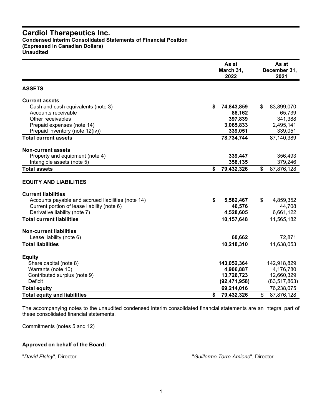#### **Cardiol Therapeutics Inc. Condensed Interim Consolidated Statements of Financial Position (Expressed in Canadian Dollars) Unaudited**

|                                                    | As at<br>March 31,<br>2022 |    |                |
|----------------------------------------------------|----------------------------|----|----------------|
| <b>ASSETS</b>                                      |                            |    |                |
| <b>Current assets</b>                              |                            |    |                |
| Cash and cash equivalents (note 3)                 | \$<br>74,843,859           | \$ | 83,899,070     |
| Accounts receivable                                | 88,162                     |    | 65,739         |
| Other receivables                                  | 397,839                    |    | 341,388        |
| Prepaid expenses (note 14)                         | 3,065,833                  |    | 2,495,141      |
| Prepaid inventory (note 12(iv))                    | 339,051                    |    | 339,051        |
| <b>Total current assets</b>                        | 78,734,744                 |    | 87,140,389     |
| <b>Non-current assets</b>                          |                            |    |                |
| Property and equipment (note 4)                    | 339,447                    |    | 356,493        |
| Intangible assets (note 5)                         | 358,135                    |    | 379,246        |
| <b>Total assets</b>                                | \$<br>79,432,326           | \$ | 87,876,128     |
| <b>EQUITY AND LIABILITIES</b>                      |                            |    |                |
| <b>Current liabilities</b>                         |                            |    |                |
| Accounts payable and accrued liabilities (note 14) | \$<br>5,582,467            | \$ | 4,859,352      |
| Current portion of lease liability (note 6)        | 46,576                     |    | 44,708         |
| Derivative liability (note 7)                      | 4,528,605                  |    | 6,661,122      |
| <b>Total current liabilities</b>                   | 10,157,648                 |    | 11,565,182     |
| <b>Non-current liabilities</b>                     |                            |    |                |
| Lease liability (note 6)                           | 60,662                     |    | 72,871         |
| <b>Total liabilities</b>                           | 10,218,310                 |    | 11,638,053     |
|                                                    |                            |    |                |
| <b>Equity</b><br>Share capital (note 8)            | 143,052,364                |    | 142,918,829    |
| Warrants (note 10)                                 | 4,906,887                  |    | 4,176,780      |
| Contributed surplus (note 9)                       | 13,726,723                 |    | 12,660,329     |
| Deficit                                            | (92, 471, 958)             |    | (83, 517, 863) |
| <b>Total equity</b>                                | 69,214,016                 |    | 76,238,075     |
| <b>Total equity and liabilities</b>                | \$<br>79,432,326           | \$ | 87,876,128     |

The accompanying notes to the unaudited condensed interim consolidated financial statements are an integral part of these consolidated financial statements.

Commitments (notes 5 and 12)

## **Approved on behalf of the Board:**

"*David Elsley*", Director "*Guillermo Torre-Amione*", Director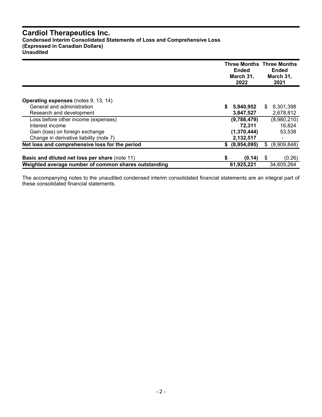# **Cardiol Therapeutics Inc.**

**Condensed Interim Consolidated Statements of Loss and Comprehensive Loss**

**(Expressed in Canadian Dollars)**

**Unaudited**

|                                                       |    | <b>Ended</b><br>March 31,<br>2022 | <b>Three Months Three Months</b><br><b>Ended</b><br>March 31,<br>2021 |
|-------------------------------------------------------|----|-----------------------------------|-----------------------------------------------------------------------|
|                                                       |    |                                   |                                                                       |
| <b>Operating expenses</b> (notes 9, 13, 14)           |    |                                   |                                                                       |
| General and administration                            | S  | 5,940,952                         | 6,301,398<br>S.                                                       |
| Research and development                              |    | 3,847,527                         | 2,678,812                                                             |
| Loss before other income (expenses)                   |    | (9,788,479)                       | (8,980,210)                                                           |
| Interest income                                       |    | 72,311                            | 16,824                                                                |
| Gain (loss) on foreign exchange                       |    | (1,370,444)                       | 53,538                                                                |
| Change in derivative liability (note 7)               |    | 2,132,517                         |                                                                       |
| Net loss and comprehensive loss for the period        | S. | (8,954,095)                       | (8,909,848)<br>S                                                      |
|                                                       |    |                                   |                                                                       |
| <b>Basic and diluted net loss per share (note 11)</b> | \$ | (0.14)                            | (0.26)<br>- \$                                                        |
| Weighted average number of common shares outstanding  |    | 61,925,221                        | 34,605,264                                                            |

The accompanying notes to the unaudited condensed interim consolidated financial statements are an integral part of these consolidated financial statements.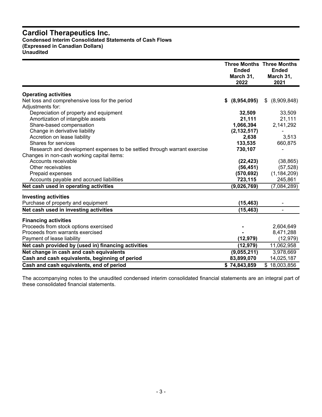## **Cardiol Therapeutics Inc. Condensed Interim Consolidated Statements of Cash Flows (Expressed in Canadian Dollars)**

**Unaudited**

|                                                                          | <b>Ended</b><br>March 31,<br>2022 | <b>Three Months Three Months</b><br><b>Ended</b><br>March 31,<br>2021 |
|--------------------------------------------------------------------------|-----------------------------------|-----------------------------------------------------------------------|
| <b>Operating activities</b>                                              |                                   |                                                                       |
| Net loss and comprehensive loss for the period                           | (8,954,095)<br>S.                 | (8,909,848)<br>\$                                                     |
| Adjustments for:                                                         |                                   |                                                                       |
| Depreciation of property and equipment                                   | 32,509                            | 33,509                                                                |
| Amortization of intangible assets                                        | 21,111                            | 21,111                                                                |
| Share-based compensation                                                 | 1,066,394                         | 2,141,292                                                             |
| Change in derivative liability                                           | (2, 132, 517)                     |                                                                       |
| Accretion on lease liability                                             | 2,638                             | 3,513                                                                 |
| Shares for services                                                      | 133,535                           | 660,875                                                               |
| Research and development expenses to be settled through warrant exercise | 730,107                           |                                                                       |
| Changes in non-cash working capital items:                               |                                   |                                                                       |
| Accounts receivable                                                      | (22, 423)                         | (38, 865)                                                             |
| Other receivables                                                        | (56, 451)                         | (57, 528)                                                             |
| Prepaid expenses                                                         | (570, 692)                        | (1, 184, 209)                                                         |
| Accounts payable and accrued liabilities                                 | 723,115                           | 245,861                                                               |
| Net cash used in operating activities                                    | (9,026,769)                       | (7,084,289)                                                           |
| <b>Investing activities</b>                                              |                                   |                                                                       |
| Purchase of property and equipment                                       | (15, 463)                         |                                                                       |
| Net cash used in investing activities                                    | (15, 463)                         |                                                                       |
| <b>Financing activities</b>                                              |                                   |                                                                       |
| Proceeds from stock options exercised                                    |                                   | 2,604,649                                                             |
| Proceeds from warrants exercised                                         |                                   | 8,471,288                                                             |
| Payment of lease liability                                               | (12, 979)                         | (12, 979)                                                             |
| Net cash provided by (used in) financing activities                      | (12, 979)                         | 11,062,958                                                            |
| Net change in cash and cash equivalents                                  | (9,055,211)                       | 3,978,669                                                             |
| Cash and cash equivalents, beginning of period                           | 83,899,070                        | 14,025,187                                                            |
| Cash and cash equivalents, end of period                                 | \$74,843,859                      | \$18,003,856                                                          |

The accompanying notes to the unaudited condensed interim consolidated financial statements are an integral part of these consolidated financial statements.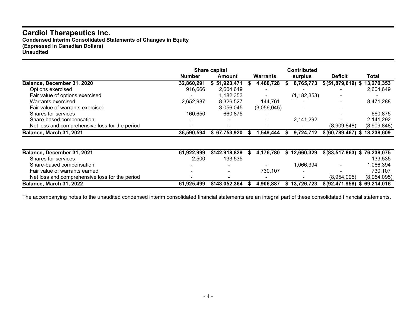# **Cardiol Therapeutics Inc.**

**Condensed Interim Consolidated Statements of Changes in Equity (Expressed in Canadian Dollars) Unaudited**

|                                                |               | Share capital |     |             |    | <b>Contributed</b> |                                   |             |
|------------------------------------------------|---------------|---------------|-----|-------------|----|--------------------|-----------------------------------|-------------|
|                                                | <b>Number</b> | Amount        |     | Warrants    |    | surplus            | <b>Deficit</b>                    | Total       |
| Balance, December 31, 2020                     | 32,860,291    | \$51,923,471  |     | 4,460,728   |    | 8,765,773          | $$ (51,879,619)$ \$               | 13,270,353  |
| Options exercised                              | 916,666       | 2,604,649     |     |             |    |                    |                                   | 2,604,649   |
| Fair value of options exercised                |               | 1,182,353     |     |             |    | (1, 182, 353)      |                                   |             |
| Warrants exercised                             | 2,652,987     | 8,326,527     |     | 144,761     |    |                    |                                   | 8,471,288   |
| Fair value of warrants exercised               |               | 3,056,045     |     | (3,056,045) |    |                    |                                   |             |
| Shares for services                            | 160,650       | 660,875       |     |             |    |                    |                                   | 660,875     |
| Share-based compensation                       |               |               |     |             |    | 2,141,292          |                                   | 2,141,292   |
| Net loss and comprehensive loss for the period |               |               |     |             |    |                    | (8,909,848)                       | (8,909,848) |
| Balance, March 31, 2021                        | 36,590,594    | \$67,753,920  | Эħ. | 1,549,444   | æ. | 9,724,712          | \$ (60, 789, 467) \$ 18, 238, 609 |             |
|                                                |               |               |     |             |    |                    |                                   |             |
| Balance, December 31, 2021                     | 61,922,999    | \$142,918,829 |     | 4,176,780   | S. | 12,660,329         | \$ (83,517,863) \$ 76,238,075     |             |
| Shares for services                            | 2,500         | 133,535       |     |             |    |                    |                                   | 133,535     |
| Share-based compensation                       |               |               |     |             |    | 1,066,394          |                                   | 1,066,394   |
| Fair value of warrants earned                  |               |               |     | 730,107     |    |                    |                                   | 730,107     |
| Net loss and comprehensive loss for the period |               |               |     |             |    |                    | (8,954,095)                       | (8,954,095) |

The accompanying notes to the unaudited condensed interim consolidated financial statements are an integral part of these consolidated financial statements.

Balance, March 31, 2022 61,925,499 \$143,052,364 \$4,906,887 \$13,726,723 \$(92,471,958) \$69,214,016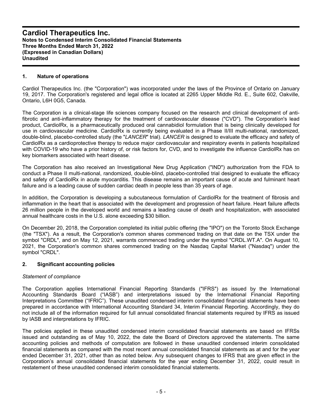#### **1. Nature of operations**

Cardiol Therapeutics Inc. (the "Corporation") was incorporated under the laws of the Province of Ontario on January 19, 2017. The Corporation's registered and legal office is located at 2265 Upper Middle Rd. E., Suite 602, Oakville, Ontario, L6H 0G5, Canada.

The Corporation is a clinical-stage life sciences company focused on the research and clinical development of antifibrotic and anti-inflammatory therapy for the treatment of cardiovascular disease ("CVD"). The Corporation's lead product, CardiolRx, is a pharmaceutically produced oral cannabidiol formulation that is being clinically developed for use in cardiovascular medicine. CardiolRx is currently being evaluated in a Phase II/III multi-national, randomized, double-blind, placebo-controlled study (the "*LANCER*" trial). *LANCER* is designed to evaluate the efficacy and safety of CardiolRx as a cardioprotective therapy to reduce major cardiovascular and respiratory events in patients hospitalized with COVID-19 who have a prior history of, or risk factors for, CVD, and to investigate the influence CardiolRx has on key biomarkers associated with heart disease.

The Corporation has also received an Investigational New Drug Application ("IND") authorization from the FDA to conduct a Phase II multi-national, randomized, double-blind, placebo-controlled trial designed to evaluate the efficacy and safety of CardiolRx in acute myocarditis. This disease remains an important cause of acute and fulminant heart failure and is a leading cause of sudden cardiac death in people less than 35 years of age.

In addition, the Corporation is developing a subcutaneous formulation of CardiolRx for the treatment of fibrosis and inflammation in the heart that is associated with the development and progression of heart failure. Heart failure affects 26 million people in the developed world and remains a leading cause of death and hospitalization, with associated annual healthcare costs in the U.S. alone exceeding \$30 billion.

On December 20, 2018, the Corporation completed its initial public offering (the "IPO") on the Toronto Stock Exchange (the "TSX"). As a result, the Corporation's common shares commenced trading on that date on the TSX under the symbol "CRDL", and on May 12, 2021, warrants commenced trading under the symbol "CRDL.WT.A". On August 10, 2021, the Corporation's common shares commenced trading on the Nasdaq Capital Market ("Nasdaq") under the symbol "CRDL".

### **2. Significant accounting policies**

#### *Statement of compliance*

The Corporation applies International Financial Reporting Standards ("IFRS") as issued by the International Accounting Standards Board ("IASB") and interpretations issued by the International Financial Reporting Interpretations Committee ("IFRIC"). These unaudited condensed interim consolidated financial statements have been prepared in accordance with International Accounting Standard 34, Interim Financial Reporting. Accordingly, they do not include all of the information required for full annual consolidated financial statements required by IFRS as issued by IASB and interpretations by IFRIC.

The policies applied in these unaudited condensed interim consolidated financial statements are based on IFRSs issued and outstanding as of May 10, 2022, the date the Board of Directors approved the statements. The same accounting policies and methods of computation are followed in these unaudited condensed interim consolidated financial statements as compared with the most recent annual consolidated financial statements as at and for the year ended December 31, 2021, other than as noted below. Any subsequent changes to IFRS that are given effect in the Corporation's annual consolidated financial statements for the year ending December 31, 2022, could result in restatement of these unaudited condensed interim consolidated financial statements.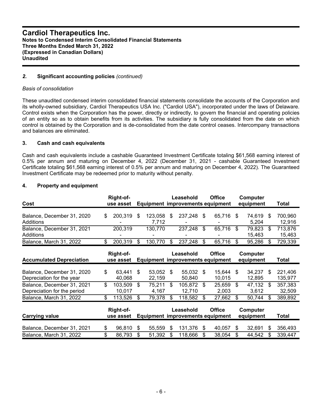#### *2.* **Significant accounting policies** *(continued)*

#### *Basis of consolidation*

These unaudited condensed interim consolidated financial statements consolidate the accounts of the Corporation and its wholly-owned subsidiary, Cardiol Therapeutics USA Inc. ("Cardiol USA"), incorporated under the laws of Delaware. Control exists when the Corporation has the power, directly or indirectly, to govern the financial and operating policies of an entity so as to obtain benefits from its activities. The subsidiary is fully consolidated from the date on which control is obtained by the Corporation and is de-consolidated from the date control ceases. Intercompany transactions and balances are eliminated.

#### **3. Cash and cash equivalents**

Cash and cash equivalents include a cashable Guaranteed Investment Certificate totaling \$61,568 earning interest of 0.5% per annum and maturing on December 4, 2022 (December 31, 2021 - cashable Guaranteed Investment Certificate totaling \$61,568 earning interest of 0.5% per annum and maturing on December 4, 2022). The Guaranteed Investment Certificate may be redeemed prior to maturity without penalty.

### **4. Property and equipment**

| Cost                                                      | Right-of-<br>use asset  |                        | Leasehold<br><b>Equipment improvements equipment</b> | <b>Office</b>          | Computer<br>equipment  |    | Total              |
|-----------------------------------------------------------|-------------------------|------------------------|------------------------------------------------------|------------------------|------------------------|----|--------------------|
| Balance, December 31, 2020<br>Additions                   | \$<br>200,319           | \$<br>123,058<br>7,712 | \$<br>237,248                                        | \$<br>65.716 \$        | 74,619<br>5,204        | \$ | 700,960<br>12,916  |
| Balance, December 31, 2021<br>Additions                   | 200,319                 | 130,770                | 237,248                                              | \$<br>65,716           | \$<br>79,823<br>15,463 | \$ | 713,876<br>15,463  |
| Balance, March 31, 2022                                   | \$<br>200,319           | \$<br>130,770          | \$<br>237,248                                        | \$<br>65,716           | \$<br>95,286           | S  | 729,339            |
| <b>Accumulated Depreciation</b>                           | Right-of-<br>use asset  |                        | Leasehold<br><b>Equipment improvements equipment</b> | <b>Office</b>          | Computer<br>equipment  |    | Total              |
| Balance, December 31, 2020<br>Depreciation for the year   | \$<br>63,441<br>40,068  | \$<br>53,052<br>22,159 | \$<br>55,032<br>50,840                               | \$<br>15,644<br>10,015 | \$<br>34,237<br>12,895 | \$ | 221,406<br>135,977 |
| Balance, December 31, 2021<br>Depreciation for the period | \$<br>103,509<br>10,017 | \$<br>75,211<br>4,167  | \$<br>105,872<br>12,710                              | \$<br>25,659<br>2,003  | \$<br>47,132<br>3,612  | \$ | 357,383<br>32,509  |
| Balance, March 31, 2022                                   | \$<br>113,526           | \$<br>79,378           | \$<br>118,582                                        | \$<br>27,662           | \$<br>50,744           | \$ | 389,892            |
| <b>Carrying value</b>                                     | Right-of-<br>use asset  |                        | Leasehold<br><b>Equipment improvements equipment</b> | <b>Office</b>          | Computer<br>equipment  |    | Total              |
| Balance, December 31, 2021                                | \$<br>96,810            | \$<br>55,559           | \$<br>131,376                                        | \$<br>40,057           | \$<br>32,691           | \$ | 356,493            |
| Balance, March 31, 2022                                   | \$<br>86,793            | \$<br>51,392           | \$<br>118,666                                        | 38,054                 | \$<br>44,542           | \$ | 339,447            |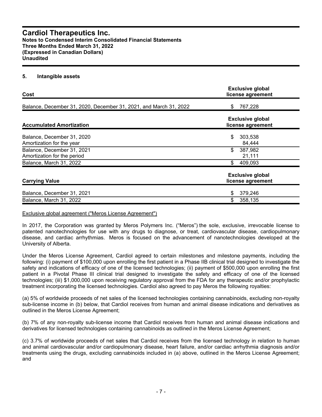#### **Cardiol Therapeutics Inc. Notes to Condensed Interim Consolidated Financial Statements Three Months Ended March 31, 2022 (Expressed in Canadian Dollars) Unaudited**

#### **5. Intangible assets**

| Cost                                                              | <b>Exclusive global</b><br>license agreement |
|-------------------------------------------------------------------|----------------------------------------------|
| Balance, December 31, 2020, December 31, 2021, and March 31, 2022 | 767,228<br>\$                                |
| <b>Accumulated Amortization</b>                                   | <b>Exclusive global</b><br>license agreement |
| Balance, December 31, 2020<br>Amortization for the year           | \$<br>303,538<br>84,444                      |
| Balance, December 31, 2021<br>Amortization for the period         | \$<br>387,982<br>21,111                      |
| Balance, March 31, 2022                                           | \$<br>409,093                                |
| <b>Carrying Value</b>                                             | <b>Exclusive global</b><br>license agreement |
| Balance, December 31, 2021                                        | 379,246<br>\$                                |
| Balance, March 31, 2022                                           | \$<br>358,135                                |

#### Exclusive global agreement ("Meros License Agreement")

In 2017, the Corporation was granted by Meros Polymers Inc. ("Meros") the sole, exclusive, irrevocable license to patented nanotechnologies for use with any drugs to diagnose, or treat, cardiovascular disease, cardiopulmonary disease, and cardiac arrhythmias. Meros is focused on the advancement of nanotechnologies developed at the University of Alberta.

Under the Meros License Agreement, Cardiol agreed to certain milestones and milestone payments, including the following: (i) payment of \$100,000 upon enrolling the first patient in a Phase IIB clinical trial designed to investigate the safety and indications of efficacy of one of the licensed technologies; (ii) payment of \$500,000 upon enrolling the first patient in a Pivotal Phase III clinical trial designed to investigate the safety and efficacy of one of the licensed technologies; (iii) \$1,000,000 upon receiving regulatory approval from the FDA for any therapeutic and/or prophylactic treatment incorporating the licensed technologies. Cardiol also agreed to pay Meros the following royalties:

(a) 5% of worldwide proceeds of net sales of the licensed technologies containing cannabinoids, excluding non-royalty sub-license income in (b) below, that Cardiol receives from human and animal disease indications and derivatives as outlined in the Meros License Agreement;

(b) 7% of any non-royalty sub-license income that Cardiol receives from human and animal disease indications and derivatives for licensed technologies containing cannabinoids as outlined in the Meros License Agreement;

(c) 3.7% of worldwide proceeds of net sales that Cardiol receives from the licensed technology in relation to human and animal cardiovascular and/or cardiopulmonary disease, heart failure, and/or cardiac arrhythmia diagnosis and/or treatments using the drugs, excluding cannabinoids included in (a) above, outlined in the Meros License Agreement; and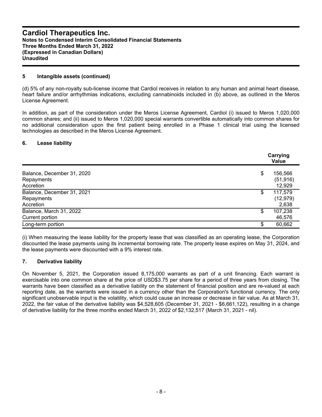#### **5 Intangible assets (continued)**

(d) 5% of any non-royalty sub-license income that Cardiol receives in relation to any human and animal heart disease, heart failure and/or arrhythmias indications, excluding cannabinoids included in (b) above, as outlined in the Meros License Agreement.

In addition, as part of the consideration under the Meros License Agreement, Cardiol (i) issued to Meros 1,020,000 common shares; and (ii) issued to Meros 1,020,000 special warrants convertible automatically into common shares for no additional consideration upon the first patient being enrolled in a Phase 1 clinical trial using the licensed technologies as described in the Meros License Agreement.

#### **6. Lease liability**

|                                                       | Carrying<br>Value                    |  |  |  |  |
|-------------------------------------------------------|--------------------------------------|--|--|--|--|
| Balance, December 31, 2020<br>Repayments<br>Accretion | \$<br>156,566<br>(51, 916)<br>12,929 |  |  |  |  |
| Balance, December 31, 2021<br>Repayments<br>Accretion | \$<br>117,579<br>(12, 979)<br>2,638  |  |  |  |  |
| Balance, March 31, 2022<br>Current portion            | \$<br>107,238<br>46,576              |  |  |  |  |
| Long-term portion                                     | \$<br>60,662                         |  |  |  |  |

(i) When measuring the lease liability for the property lease that was classified as an operating lease, the Corporation discounted the lease payments using its incremental borrowing rate. The property lease expires on May 31, 2024, and the lease payments were discounted with a 9% interest rate.

### **7. Derivative liability**

On November 5, 2021, the Corporation issued 8,175,000 warrants as part of a unit financing. Each warrant is exercisable into one common share at the price of USD\$3.75 per share for a period of three years from closing. The warrants have been classified as a derivative liability on the statement of financial position and are re-valued at each reporting date, as the warrants were issued in a currency other than the Corporation's functional currency. The only significant unobservable input is the volatility, which could cause an increase or decrease in fair value. As at March 31, 2022, the fair value of the derivative liability was \$4,528,605 (December 31, 2021 - \$6,661,122), resulting in a change of derivative liability for the three months ended March 31, 2022 of \$2,132,517 (March 31, 2021 - nil).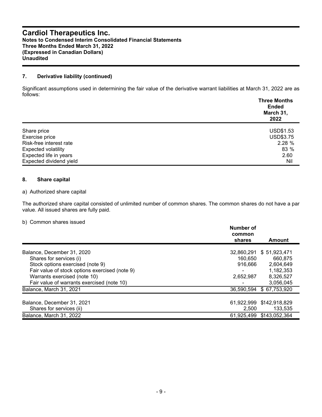### **Cardiol Therapeutics Inc. Notes to Condensed Interim Consolidated Financial Statements Three Months Ended March 31, 2022 (Expressed in Canadian Dollars) Unaudited**

#### **7. Derivative liability (continued)**

Significant assumptions used in determining the fair value of the derivative warrant liabilities at March 31, 2022 are as follows:

|                            | <b>Three Months</b><br><b>Ended</b><br>March 31,<br>2022 |
|----------------------------|----------------------------------------------------------|
|                            |                                                          |
| Share price                | <b>USD\$1.53</b>                                         |
| Exercise price             | <b>USD\$3.75</b>                                         |
| Risk-free interest rate    | 2.28 %                                                   |
| <b>Expected volatility</b> | 83 %                                                     |
| Expected life in years     | 2.60                                                     |
| Expected dividend yield    | Nil                                                      |

#### **8. Share capital**

#### a) Authorized share capital

The authorized share capital consisted of unlimited number of common shares. The common shares do not have a par value. All issued shares are fully paid.

#### b) Common shares issued

|                                                | Number of<br>common<br>shares | Amount        |
|------------------------------------------------|-------------------------------|---------------|
| Balance, December 31, 2020                     | 32,860,291                    | \$51,923,471  |
| Shares for services (i)                        | 160,650                       | 660.875       |
| Stock options exercised (note 9)               | 916.666                       | 2,604,649     |
| Fair value of stock options exercised (note 9) |                               | 1,182,353     |
| Warrants exercised (note 10)                   | 2,652,987                     | 8,326,527     |
| Fair value of warrants exercised (note 10)     |                               | 3,056,045     |
| Balance, March 31, 2021                        | 36,590,594                    | \$67,753,920  |
| Balance, December 31, 2021                     | 61,922,999                    | \$142,918,829 |
| Shares for services (ii)                       | 2,500                         | 133.535       |
| Balance, March 31, 2022                        | 61,925,499                    | \$143,052,364 |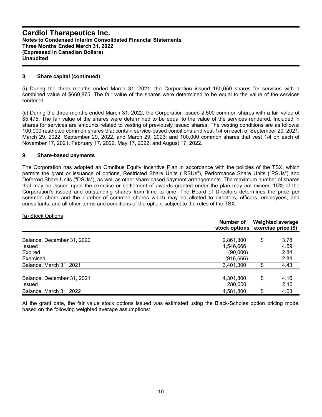#### **8. Share capital (continued)**

(i) During the three months ended March 31, 2021, the Corporation issued 160,650 shares for services with a combined value of \$660,875. The fair value of the shares were determined to be equal to the value of the services rendered.

(ii) During the three months ended March 31, 2022, the Corporation issued 2,500 common shares with a fair value of \$5,475. The fair value of the shares were determined to be equal to the value of the services rendered. Included in shares for services are amounts related to vesting of previously issued shares. The vesting conditions are as follows: 100,000 restricted common shares that contain service-based conditions and vest 1/4 on each of September 29, 2021, March 29, 2022, September 29, 2022, and March 29, 2023; and 100,000 common shares that vest 1/4 on each of November 17, 2021, February 17, 2022, May 17, 2022, and August 17, 2022.

#### **9. Share-based payments**

The Corporation has adopted an Omnibus Equity Incentive Plan in accordance with the policies of the TSX, which permits the grant or issuance of options, Restricted Share Units ("RSUs"), Performance Share Units ("PSUs") and Deferred Share Units ("DSUs"), as well as other share-based payment arrangements. The maximum number of shares that may be issued upon the exercise or settlement of awards granted under the plan may not exceed 15% of the Corporation's issued and outstanding shares from time to time. The Board of Directors determines the price per common share and the number of common shares which may be allotted to directors, officers, employees, and consultants, and all other terms and conditions of the option, subject to the rules of the TSX.

#### (a) Stock Options

|                                                                     | Number of<br>stock options exercise price (\$)   |    | <b>Weighted average</b>      |
|---------------------------------------------------------------------|--------------------------------------------------|----|------------------------------|
| Balance, December 31, 2020<br><b>Issued</b><br>Expired<br>Exercised | 2,861,300<br>1,546,666<br>(90,000)<br>(916, 666) | S  | 3.78<br>4.59<br>2.84<br>2.84 |
| Balance, March 31, 2021                                             | 3,401,300                                        | ß. | 4.43                         |
| Balance, December 31, 2021<br><b>Issued</b>                         | 4,301,800<br>280,000                             | \$ | 4.16<br>2.16                 |
| Balance, March 31, 2022                                             | 4,581,800                                        | \$ | 4.03                         |

At the grant date, the fair value stock options issued was estimated using the Black-Scholes option pricing model based on the following weighted average assumptions: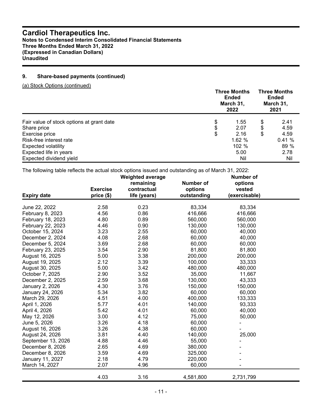# **Cardiol Therapeutics Inc.**

**Notes to Condensed Interim Consolidated Financial Statements Three Months Ended March 31, 2022 (Expressed in Canadian Dollars) Unaudited**

## **9. Share-based payments (continued)**

(a) Stock Options (continued)

|                                           | <b>Three Months</b><br>Ended<br>March 31,<br>2022 |    | <b>Three Months</b><br><b>Ended</b><br>March 31,<br>2021 |
|-------------------------------------------|---------------------------------------------------|----|----------------------------------------------------------|
| Fair value of stock options at grant date | \$<br>1.55                                        | \$ | 2.41                                                     |
| Share price                               | \$<br>2.07                                        | S  | 4.59                                                     |
| Exercise price                            | \$<br>2.16                                        | S  | 4.59                                                     |
| Risk-free interest rate                   | 1.62%                                             |    | 0.41%                                                    |
| <b>Expected volatility</b>                | 102 %                                             |    | 89 %                                                     |
| Expected life in years                    | 5.00                                              |    | 2.78                                                     |
| Expected dividend yield                   | Nil                                               |    | Nil                                                      |

The following table reflects the actual stock options issued and outstanding as of March 31, 2022:

|                    |                 | <b>Weighted average</b> |                    | <b>Number of</b>   |  |
|--------------------|-----------------|-------------------------|--------------------|--------------------|--|
|                    |                 | remaining               | Number of          | options            |  |
|                    | <b>Exercise</b> | contractual             | options            | vested             |  |
| <b>Expiry date</b> | price (\$)      | life (years)            | outstanding        | (exercisable)      |  |
| June 22, 2022      | 2.58            | 0.23                    | 83,334             | 83,334             |  |
|                    |                 | 0.86                    |                    |                    |  |
| February 8, 2023   | 4.56<br>4.80    | 0.89                    | 416,666<br>560,000 | 416,666<br>560,000 |  |
| February 18, 2023  |                 |                         |                    |                    |  |
| February 22, 2023  | 4.46            | 0.90                    | 130,000            | 130,000            |  |
| October 15, 2024   | 3.23            | 2.55                    | 60,000             | 40,000             |  |
| December 2, 2024   | 4.08            | 2.68                    | 60,000             | 40,000             |  |
| December 5, 2024   | 3.69            | 2.68                    | 60,000             | 60,000             |  |
| February 23, 2025  | 3.54            | 2.90                    | 81,800             | 81,800             |  |
| August 16, 2025    | 5.00            | 3.38                    | 200,000            | 200,000            |  |
| August 19, 2025    | 2.12            | 3.39                    | 100,000            | 33,333             |  |
| August 30, 2025    | 5.00            | 3.42                    | 480,000            | 480,000            |  |
| October 7, 2025    | 2.90            | 3.52                    | 35,000             | 11,667             |  |
| December 2, 2025   | 2.59            | 3.68                    | 130,000            | 43,333             |  |
| January 2, 2026    | 4.30            | 3.76                    | 150,000            | 150,000            |  |
| January 24, 2026   | 5.34            | 3.82                    | 60,000             | 60,000             |  |
| March 29, 2026     | 4.51            | 4.00                    | 400,000            | 133,333            |  |
| April 1, 2026      | 5.77            | 4.01                    | 140,000            | 93,333             |  |
| April 4, 2026      | 5.42            | 4.01                    | 60,000             | 40,000             |  |
| May 12, 2026       | 3.00            | 4.12                    | 75,000             | 50,000             |  |
| June 5, 2026       | 3.26            | 4.18                    | 60,000             |                    |  |
| August 16, 2026    | 3.26            | 4.38                    | 60,000             |                    |  |
| August 24, 2026    | 3.81            | 4.40                    | 140,000            | 25,000             |  |
| September 13, 2026 | 4.88            | 4.46                    | 55,000             |                    |  |
| December 8, 2026   | 2.65            | 4.69                    | 380,000            |                    |  |
| December 8, 2026   | 3.59            | 4.69                    | 325,000            |                    |  |
| January 11, 2027   | 2.18            | 4.79                    | 220,000            |                    |  |
| March 14, 2027     | 2.07            | 4.96                    | 60,000             |                    |  |
|                    | 4.03            | 3.16                    | 4,581,800          | 2,731,799          |  |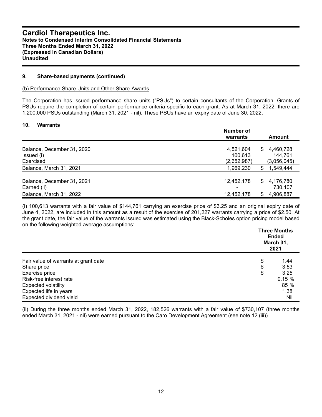#### **9. Share-based payments (continued)**

(b) Performance Share Units and Other Share-Awards

The Corporation has issued performance share units ("PSUs") to certain consultants of the Corporation. Grants of PSUs require the completion of certain performance criteria specific to each grant. As at March 31, 2022, there are 1,200,000 PSUs outstanding (March 31, 2021 - nil). These PSUs have an expiry date of June 30, 2022.

#### **10. Warrants**

|                                           | <b>Number of</b><br>Amount<br>warrants  |  |
|-------------------------------------------|-----------------------------------------|--|
| Balance, December 31, 2020                | 4,460,728<br>4,521,604<br>\$.           |  |
| Issued (i)                                | 100,613<br>144,761                      |  |
| Exercised                                 | (2,652,987)<br>(3,056,045)              |  |
| Balance, March 31, 2021                   | 1,549,444<br>1,969,230<br>\$            |  |
| Balance, December 31, 2021<br>Earned (ii) | 4,176,780<br>12,452,178<br>S<br>730,107 |  |
| Balance, March 31, 2022                   | 12,452,178<br>\$<br>4,906,887           |  |

(i) 100,613 warrants with a fair value of \$144,761 carrying an exercise price of \$3.25 and an original expiry date of June 4, 2022, are included in this amount as a result of the exercise of 201,227 warrants carrying a price of \$2.50. At the grant date, the fair value of the warrants issued was estimated using the Black-Scholes option pricing model based on the following weighted average assumptions:

|                                      | <b>Three Months</b><br>Ended<br>March 31,<br>2021 |  |
|--------------------------------------|---------------------------------------------------|--|
| Fair value of warrants at grant date | \$<br>1.44                                        |  |
| Share price                          | \$<br>3.53                                        |  |
| Exercise price                       | \$<br>3.25                                        |  |
| Risk-free interest rate              | 0.15%                                             |  |
| <b>Expected volatility</b>           | 85 %                                              |  |
| Expected life in years               | 1.38                                              |  |
| Expected dividend yield              | Nil                                               |  |

(ii) During the three months ended March 31, 2022, 182,526 warrants with a fair value of \$730,107 (three months ended March 31, 2021 - nil) were earned pursuant to the Caro Development Agreement (see note 12 (iii)).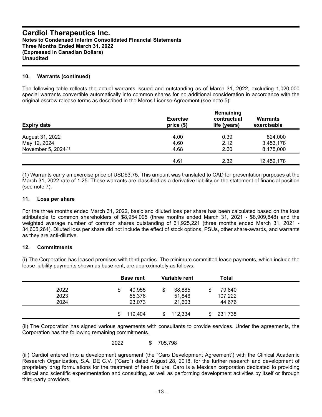#### **10. Warrants (continued)**

The following table reflects the actual warrants issued and outstanding as of March 31, 2022, excluding 1,020,000 special warrants convertible automatically into common shares for no additional consideration in accordance with the original escrow release terms as described in the Meros License Agreement (see note 5):

| <b>Expiry date</b>              | <b>Exercise</b><br>price(\$) | Remaining<br>contractual<br>life (years) | Warrants<br>exercisable |
|---------------------------------|------------------------------|------------------------------------------|-------------------------|
| August 31, 2022                 | 4.00                         | 0.39                                     | 824,000                 |
| May 12, 2024                    | 4.60                         | 2.12                                     | 3,453,178               |
| November 5, 2024 <sup>(1)</sup> | 4.68                         | 2.60                                     | 8,175,000               |
|                                 | 4.61                         | 2.32                                     | 12,452,178              |

(1) Warrants carry an exercise price of USD\$3.75. This amount was translated to CAD for presentation purposes at the March 31, 2022 rate of 1.25. These warrants are classified as a derivative liability on the statement of financial position (see note 7).

#### **11. Loss per share**

For the three months ended March 31, 2022, basic and diluted loss per share has been calculated based on the loss attributable to common shareholders of \$8,954,095 (three months ended March 31, 2021 - \$8,909,848) and the weighted average number of common shares outstanding of 61,925,221 (three months ended March 31, 2021 - 34,605,264). Diluted loss per share did not include the effect of stock options, PSUs, other share-awards, and warrants as they are anti-dilutive.

### **12. Commitments**

(i) The Corporation has leased premises with third parties. The minimum committed lease payments, which include the lease liability payments shown as base rent, are approximately as follows:

|              | <b>Base rent</b>      | Variable rent          | Total                   |  |
|--------------|-----------------------|------------------------|-------------------------|--|
| 2022<br>2023 | 40,955<br>D<br>55,376 | 38,885<br>\$<br>51,846 | 79,840<br>\$<br>107,222 |  |
| 2024         | 23,073                | 21,603                 | 44,676                  |  |
|              | 119,404<br>\$.        | 112,334<br>\$.         | 231,738                 |  |

(ii) The Corporation has signed various agreements with consultants to provide services. Under the agreements, the Corporation has the following remaining commitments.

2022 \$ 705,798

(iii) Cardiol entered into a development agreement (the "Caro Development Agreement") with the Clinical Academic Research Organization, S.A. DE C.V. ("Caro") dated August 28, 2018, for the further research and development of proprietary drug formulations for the treatment of heart failure. Caro is a Mexican corporation dedicated to providing clinical and scientific experimentation and consulting, as well as performing development activities by itself or through third-party providers.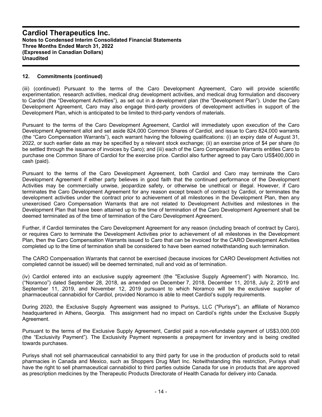#### **12. Commitments (continued)**

(iii) (continued) Pursuant to the terms of the Caro Development Agreement, Caro will provide scientific experimentation, research activities, medical drug development activities, and medical drug formulation and discovery to Cardiol (the "Development Activities"), as set out in a development plan (the "Development Plan"). Under the Caro Development Agreement, Caro may also engage third-party providers of development activities in support of the Development Plan, which is anticipated to be limited to third-party vendors of materials.

Pursuant to the terms of the Caro Development Agreement, Cardiol will immediately upon execution of the Caro Development Agreement allot and set aside 824,000 Common Shares of Cardiol, and issue to Caro 824,000 warrants (the "Caro Compensation Warrants"), each warrant having the following qualifications: (i) an expiry date of August 31, 2022, or such earlier date as may be specified by a relevant stock exchange; (ii) an exercise price of \$4 per share (to be settled through the issuance of invoices by Caro); and (iii) each of the Caro Compensation Warrants entitles Caro to purchase one Common Share of Cardiol for the exercise price. Cardiol also further agreed to pay Caro US\$400,000 in cash (paid).

Pursuant to the terms of the Caro Development Agreement, both Cardiol and Caro may terminate the Caro Development Agreement if either party believes in good faith that the continued performance of the Development Activities may be commercially unwise, jeopardize safety, or otherwise be unethical or illegal. However, if Caro terminates the Caro Development Agreement for any reason except breach of contract by Cardiol, or terminates the development activities under the contract prior to achievement of all milestones in the Development Plan, then any unexercised Caro Compensation Warrants that are not related to Development Activities and milestones in the Development Plan that have been attained up to the time of termination of the Caro Development Agreement shall be deemed terminated as of the time of termination of the Caro Development Agreement.

Further, if Cardiol terminates the Caro Development Agreement for any reason (including breach of contract by Caro), or requires Caro to terminate the Development Activities prior to achievement of all milestones in the Development Plan, then the Caro Compensation Warrants issued to Caro that can be invoiced for the CARO Development Activities completed up to the time of termination shall be considered to have been earned notwithstanding such termination.

The CARO Compensation Warrants that cannot be exercised (because invoices for CARO Development Activities not completed cannot be issued) will be deemed terminated, null and void as of termination.

(iv) Cardiol entered into an exclusive supply agreement (the "Exclusive Supply Agreement") with Noramco, Inc. ("Noramco") dated September 28, 2018, as amended on December 7, 2018, December 11, 2018, July 2, 2019 and September 11, 2019, and November 12, 2019 pursuant to which Noramco will be the exclusive supplier of pharmaceutical cannabidiol for Cardiol, provided Noramco is able to meet Cardiol's supply requirements.

During 2020, the Exclusive Supply Agreement was assigned to Purisys, LLC ("Purisys"), an affiliate of Noramco headquartered in Athens, Georgia. This assignment had no impact on Cardiol's rights under the Exclusive Supply Agreement.

Pursuant to the terms of the Exclusive Supply Agreement, Cardiol paid a non-refundable payment of US\$3,000,000 (the "Exclusivity Payment"). The Exclusivity Payment represents a prepayment for inventory and is being credited towards purchases.

Purisys shall not sell pharmaceutical cannabidiol to any third party for use in the production of products sold to retail pharmacies in Canada and Mexico, such as Shoppers Drug Mart Inc. Notwithstanding this restriction, Purisys shall have the right to sell pharmaceutical cannabidiol to third parties outside Canada for use in products that are approved as prescription medicines by the Therapeutic Products Directorate of Health Canada for delivery into Canada.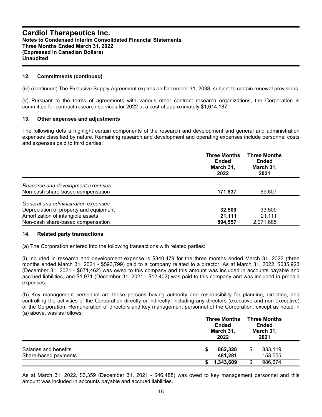#### **12. Commitments (continued)**

(iv) (continued) The Exclusive Supply Agreement expires on December 31, 2038, subject to certain renewal provisions.

(v) Pursuant to the terms of agreements with various other contract research organizations, the Corporation is committed for contract research services for 2022 at a cost of approximately \$1,614,187.

#### **13. Other expenses and adjustments**

The following details highlight certain components of the research and development and general and administration expenses classified by nature. Remaining research and development and operating expenses include personnel costs and expenses paid to third parties:

|                                                                                                                                                         | <b>Three Months</b><br>Ended<br>March 31,<br>2022 | <b>Three Months</b><br>Ended<br>March 31,<br>2021 |
|---------------------------------------------------------------------------------------------------------------------------------------------------------|---------------------------------------------------|---------------------------------------------------|
| Research and development expenses<br>Non-cash share-based compensation                                                                                  | 171,837                                           | 69,607                                            |
| General and administration expenses<br>Depreciation of property and equipment<br>Amortization of intangible assets<br>Non-cash share-based compensation | 32,509<br>21,111<br>894,557                       | 33,509<br>21,111<br>2,071,685                     |

#### **14. Related party transactions**

(a) The Corporation entered into the following transactions with related parties:

(i) Included in research and development expense is \$340,479 for the three months ended March 31, 2022 (three months ended March 31, 2021 - \$593,799) paid to a company related to a director. As at March 31, 2022, \$635,923 (December 31, 2021 - \$671,462) was owed to this company and this amount was included in accounts payable and accrued liabilities, and \$1,971 (December 31, 2021 - \$12,402) was paid to this company and was included in prepaid expenses.

(b) Key management personnel are those persons having authority and responsibility for planning, directing, and controlling the activities of the Corporation directly or indirectly, including any directors (executive and non-executive) of the Corporation. Remuneration of directors and key management personnel of the Corporation, except as noted in (a) above, was as follows:

|                                               | <b>Three Months</b><br>Ended<br>March 31,<br>2022 | <b>Three Months</b><br>Ended<br>March 31,<br>2021 |  |
|-----------------------------------------------|---------------------------------------------------|---------------------------------------------------|--|
| Salaries and benefits<br>Share-based payments | 862,328<br>S<br>481.281                           | 833,119<br>S<br>153,555                           |  |
|                                               | 1,343,609                                         | 986,674                                           |  |

As at March 31, 2022, \$3,359 (December 31, 2021 - \$46,488) was owed to key management personnel and this amount was included in accounts payable and accrued liabilities.